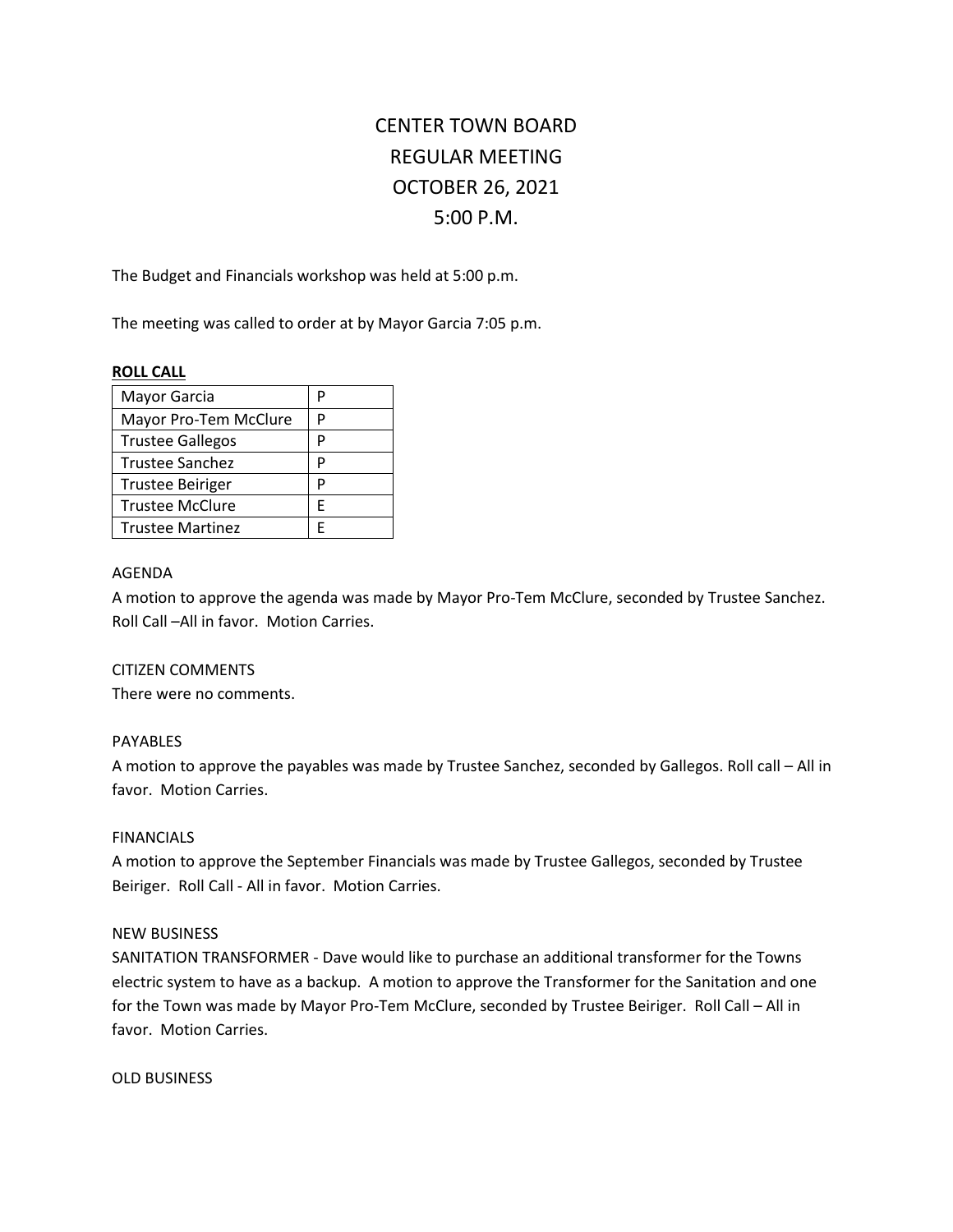# CENTER TOWN BOARD REGULAR MEETING OCTOBER 26, 2021 5:00 P.M.

The Budget and Financials workshop was held at 5:00 p.m.

The meeting was called to order at by Mayor Garcia 7:05 p.m.

# **ROLL CALL**

| Mayor Garcia            | P |
|-------------------------|---|
| Mayor Pro-Tem McClure   | P |
| <b>Trustee Gallegos</b> | P |
| Trustee Sanchez         | P |
| <b>Trustee Beiriger</b> | P |
| <b>Trustee McClure</b>  | F |
| <b>Trustee Martinez</b> |   |

# AGENDA

A motion to approve the agenda was made by Mayor Pro-Tem McClure, seconded by Trustee Sanchez. Roll Call –All in favor. Motion Carries.

## CITIZEN COMMENTS

There were no comments.

# PAYABLES

A motion to approve the payables was made by Trustee Sanchez, seconded by Gallegos. Roll call – All in favor. Motion Carries.

## FINANCIALS

A motion to approve the September Financials was made by Trustee Gallegos, seconded by Trustee Beiriger. Roll Call - All in favor. Motion Carries.

# NEW BUSINESS

SANITATION TRANSFORMER - Dave would like to purchase an additional transformer for the Towns electric system to have as a backup. A motion to approve the Transformer for the Sanitation and one for the Town was made by Mayor Pro-Tem McClure, seconded by Trustee Beiriger. Roll Call – All in favor. Motion Carries.

OLD BUSINESS